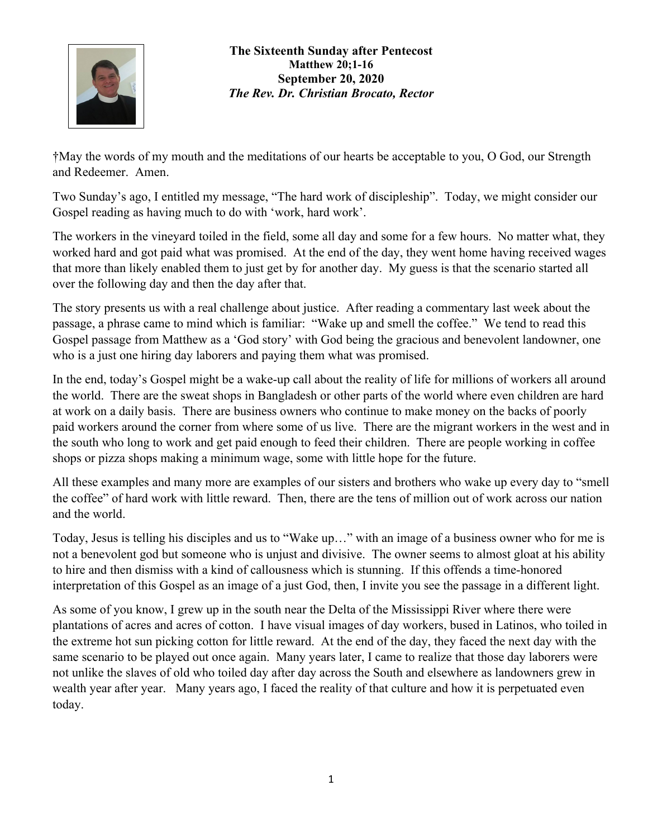

**The Sixteenth Sunday after Pentecost Matthew 20;1-16 September 20, 2020** *The Rev. Dr. Christian Brocato, Rector*

†May the words of my mouth and the meditations of our hearts be acceptable to you, O God, our Strength and Redeemer. Amen.

Two Sunday's ago, I entitled my message, "The hard work of discipleship". Today, we might consider our Gospel reading as having much to do with 'work, hard work'.

The workers in the vineyard toiled in the field, some all day and some for a few hours. No matter what, they worked hard and got paid what was promised. At the end of the day, they went home having received wages that more than likely enabled them to just get by for another day. My guess is that the scenario started all over the following day and then the day after that.

The story presents us with a real challenge about justice. After reading a commentary last week about the passage, a phrase came to mind which is familiar: "Wake up and smell the coffee." We tend to read this Gospel passage from Matthew as a 'God story' with God being the gracious and benevolent landowner, one who is a just one hiring day laborers and paying them what was promised.

In the end, today's Gospel might be a wake-up call about the reality of life for millions of workers all around the world. There are the sweat shops in Bangladesh or other parts of the world where even children are hard at work on a daily basis. There are business owners who continue to make money on the backs of poorly paid workers around the corner from where some of us live. There are the migrant workers in the west and in the south who long to work and get paid enough to feed their children. There are people working in coffee shops or pizza shops making a minimum wage, some with little hope for the future.

All these examples and many more are examples of our sisters and brothers who wake up every day to "smell the coffee" of hard work with little reward. Then, there are the tens of million out of work across our nation and the world.

Today, Jesus is telling his disciples and us to "Wake up…" with an image of a business owner who for me is not a benevolent god but someone who is unjust and divisive. The owner seems to almost gloat at his ability to hire and then dismiss with a kind of callousness which is stunning. If this offends a time-honored interpretation of this Gospel as an image of a just God, then, I invite you see the passage in a different light.

As some of you know, I grew up in the south near the Delta of the Mississippi River where there were plantations of acres and acres of cotton. I have visual images of day workers, bused in Latinos, who toiled in the extreme hot sun picking cotton for little reward. At the end of the day, they faced the next day with the same scenario to be played out once again. Many years later, I came to realize that those day laborers were not unlike the slaves of old who toiled day after day across the South and elsewhere as landowners grew in wealth year after year. Many years ago, I faced the reality of that culture and how it is perpetuated even today.